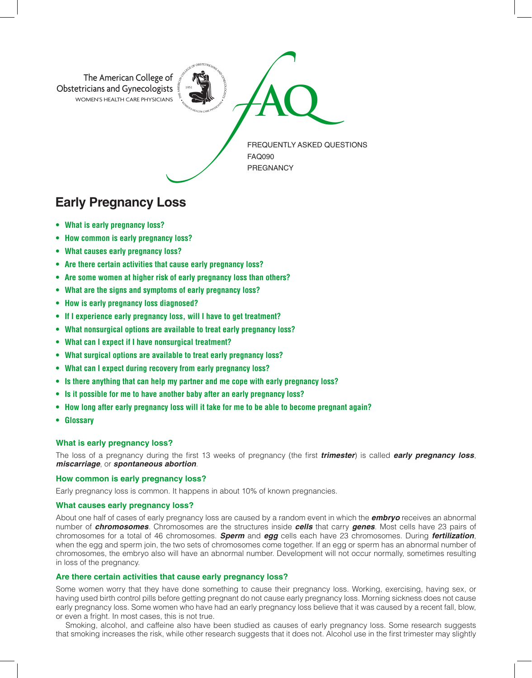

# **Early Pregnancy Loss**

- **• What is early pregnancy loss?**
- **• How common is early pregnancy loss?**
- **• What causes early pregnancy loss?**
- **• Are there certain activities that cause early pregnancy loss?**
- **• Are some women at higher risk of early pregnancy loss than others?**
- **• What are the signs and symptoms of early pregnancy loss?**
- **• How is early pregnancy loss diagnosed?**
- **• If I experience early pregnancy loss, will I have to get treatment?**
- **• What nonsurgical options are available to treat early pregnancy loss?**
- **• What can I expect if I have nonsurgical treatment?**
- **• What surgical options are available to treat early pregnancy loss?**
- **• What can I expect during recovery from early pregnancy loss?**
- **• Is there anything that can help my partner and me cope with early pregnancy loss?**
- **• Is it possible for me to have another baby after an early pregnancy loss?**
- **• How long after early pregnancy loss will it take for me to be able to become pregnant again?**
- **Glossary**

# **What is early pregnancy loss?**

The loss of a pregnancy during the first 13 weeks of pregnancy (the first *trimester*) is called *early pregnancy loss*, *miscarriage*, or *spontaneous abortion*.

## **How common is early pregnancy loss?**

Early pregnancy loss is common. It happens in about 10% of known pregnancies.

# **What causes early pregnancy loss?**

About one half of cases of early pregnancy loss are caused by a random event in which the *embryo* receives an abnormal number of *chromosomes*. Chromosomes are the structures inside *cells* that carry *genes*. Most cells have 23 pairs of chromosomes for a total of 46 chromosomes. *Sperm* and *egg* cells each have 23 chromosomes. During *fertilization*, when the egg and sperm join, the two sets of chromosomes come together. If an egg or sperm has an abnormal number of chromosomes, the embryo also will have an abnormal number. Development will not occur normally, sometimes resulting in loss of the pregnancy.

# **Are there certain activities that cause early pregnancy loss?**

Some women worry that they have done something to cause their pregnancy loss. Working, exercising, having sex, or having used birth control pills before getting pregnant do not cause early pregnancy loss. Morning sickness does not cause early pregnancy loss. Some women who have had an early pregnancy loss believe that it was caused by a recent fall, blow, or even a fright. In most cases, this is not true.

Smoking, alcohol, and caffeine also have been studied as causes of early pregnancy loss. Some research suggests that smoking increases the risk, while other research suggests that it does not. Alcohol use in the first trimester may slightly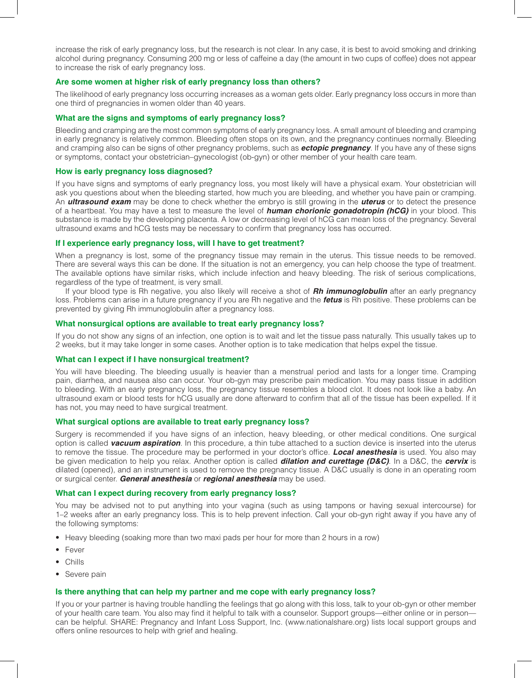increase the risk of early pregnancy loss, but the research is not clear. In any case, it is best to avoid smoking and drinking alcohol during pregnancy. Consuming 200 mg or less of caffeine a day (the amount in two cups of coffee) does not appear to increase the risk of early pregnancy loss.

# **Are some women at higher risk of early pregnancy loss than others?**

The likelihood of early pregnancy loss occurring increases as a woman gets older. Early pregnancy loss occurs in more than one third of pregnancies in women older than 40 years.

#### **What are the signs and symptoms of early pregnancy loss?**

Bleeding and cramping are the most common symptoms of early pregnancy loss. A small amount of bleeding and cramping in early pregnancy is relatively common. Bleeding often stops on its own, and the pregnancy continues normally. Bleeding and cramping also can be signs of other pregnancy problems, such as *ectopic pregnancy*. If you have any of these signs or symptoms, contact your obstetrician–gynecologist (ob-gyn) or other member of your health care team.

#### **How is early pregnancy loss diagnosed?**

If you have signs and symptoms of early pregnancy loss, you most likely will have a physical exam. Your obstetrician will ask you questions about when the bleeding started, how much you are bleeding, and whether you have pain or cramping. An *ultrasound exam* may be done to check whether the embryo is still growing in the *uterus* or to detect the presence of a heartbeat. You may have a test to measure the level of *human chorionic gonadotropin (hCG)* in your blood. This substance is made by the developing placenta. A low or decreasing level of hCG can mean loss of the pregnancy. Several ultrasound exams and hCG tests may be necessary to confirm that pregnancy loss has occurred.

#### **If I experience early pregnancy loss, will I have to get treatment?**

When a pregnancy is lost, some of the pregnancy tissue may remain in the uterus. This tissue needs to be removed. There are several ways this can be done. If the situation is not an emergency, you can help choose the type of treatment. The available options have similar risks, which include infection and heavy bleeding. The risk of serious complications, regardless of the type of treatment, is very small.

If your blood type is Rh negative, you also likely will receive a shot of *Rh immunoglobulin* after an early pregnancy loss. Problems can arise in a future pregnancy if you are Rh negative and the *fetus* is Rh positive. These problems can be prevented by giving Rh immunoglobulin after a pregnancy loss.

## **What nonsurgical options are available to treat early pregnancy loss?**

If you do not show any signs of an infection, one option is to wait and let the tissue pass naturally. This usually takes up to 2 weeks, but it may take longer in some cases. Another option is to take medication that helps expel the tissue.

#### **What can I expect if I have nonsurgical treatment?**

You will have bleeding. The bleeding usually is heavier than a menstrual period and lasts for a longer time. Cramping pain, diarrhea, and nausea also can occur. Your ob-gyn may prescribe pain medication. You may pass tissue in addition to bleeding. With an early pregnancy loss, the pregnancy tissue resembles a blood clot. It does not look like a baby. An ultrasound exam or blood tests for hCG usually are done afterward to confirm that all of the tissue has been expelled. If it has not, you may need to have surgical treatment.

# **What surgical options are available to treat early pregnancy loss?**

Surgery is recommended if you have signs of an infection, heavy bleeding, or other medical conditions. One surgical option is called *vacuum aspiration*. In this procedure, a thin tube attached to a suction device is inserted into the uterus to remove the tissue. The procedure may be performed in your doctor's office. *Local anesthesia* is used. You also may be given medication to help you relax. Another option is called *dilation and curettage (D&C)*. In a D&C, the *cervix* is dilated (opened), and an instrument is used to remove the pregnancy tissue. A D&C usually is done in an operating room or surgical center. *General anesthesia* or *regional anesthesia* may be used.

# **What can I expect during recovery from early pregnancy loss?**

You may be advised not to put anything into your vagina (such as using tampons or having sexual intercourse) for 1–2 weeks after an early pregnancy loss. This is to help prevent infection. Call your ob-gyn right away if you have any of the following symptoms:

- Heavy bleeding (soaking more than two maxi pads per hour for more than 2 hours in a row)
- Fever
- Chills
- Severe pain

### **Is there anything that can help my partner and me cope with early pregnancy loss?**

If you or your partner is having trouble handling the feelings that go along with this loss, talk to your ob-gyn or other member of your health care team. You also may find it helpful to talk with a counselor. Support groups—either online or in person can be helpful. SHARE: Pregnancy and Infant Loss Support, Inc. (www.nationalshare.org) lists local support groups and offers online resources to help with grief and healing.